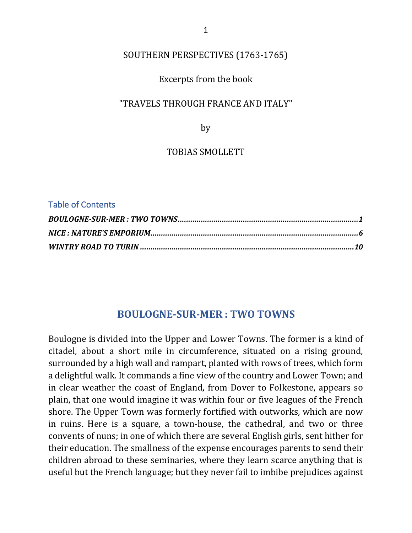# SOUTHERN PERSPECTIVES (1763-1765)

### Excerpts from the book

#### "TRAVELS THROUGH FRANCE AND ITALY"

by

#### TOBIAS SMOLLETT

#### Table of Contents

# **BOULOGNE-SUR-MER : TWO TOWNS**

Boulogne is divided into the Upper and Lower Towns. The former is a kind of citadel, about a short mile in circumference, situated on a rising ground, surrounded by a high wall and rampart, planted with rows of trees, which form a delightful walk. It commands a fine view of the country and Lower Town; and in clear weather the coast of England, from Dover to Folkestone, appears so plain, that one would imagine it was within four or five leagues of the French shore. The Upper Town was formerly fortified with outworks, which are now in ruins. Here is a square, a town-house, the cathedral, and two or three convents of nuns; in one of which there are several English girls, sent hither for their education. The smallness of the expense encourages parents to send their children abroad to these seminaries, where they learn scarce anything that is useful but the French language; but they never fail to imbibe prejudices against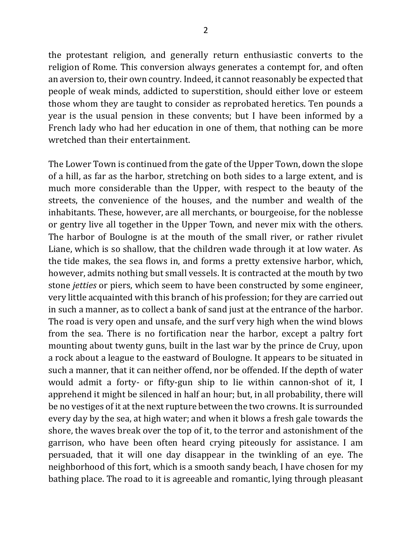the protestant religion, and generally return enthusiastic converts to the religion of Rome. This conversion always generates a contempt for, and often an aversion to, their own country. Indeed, it cannot reasonably be expected that people of weak minds, addicted to superstition, should either love or esteem those whom they are taught to consider as reprobated heretics. Ten pounds a year is the usual pension in these convents; but I have been informed by a French lady who had her education in one of them, that nothing can be more wretched than their entertainment.

The Lower Town is continued from the gate of the Upper Town, down the slope of a hill, as far as the harbor, stretching on both sides to a large extent, and is much more considerable than the Upper, with respect to the beauty of the streets, the convenience of the houses, and the number and wealth of the inhabitants. These, however, are all merchants, or bourgeoise, for the noblesse or gentry live all together in the Upper Town, and never mix with the others. The harbor of Boulogne is at the mouth of the small river, or rather rivulet Liane, which is so shallow, that the children wade through it at low water. As the tide makes, the sea flows in, and forms a pretty extensive harbor, which, however, admits nothing but small vessels. It is contracted at the mouth by two stone *jetties* or piers, which seem to have been constructed by some engineer, very little acquainted with this branch of his profession; for they are carried out in such a manner, as to collect a bank of sand just at the entrance of the harbor. The road is very open and unsafe, and the surf very high when the wind blows from the sea. There is no fortification near the harbor, except a paltry fort mounting about twenty guns, built in the last war by the prince de Cruy, upon a rock about a league to the eastward of Boulogne. It appears to be situated in such a manner, that it can neither offend, nor be offended. If the depth of water would admit a forty- or fifty-gun ship to lie within cannon-shot of it, I apprehend it might be silenced in half an hour; but, in all probability, there will be no vestiges of it at the next rupture between the two crowns. It is surrounded every day by the sea, at high water; and when it blows a fresh gale towards the shore, the waves break over the top of it, to the terror and astonishment of the garrison, who have been often heard crying piteously for assistance. I am persuaded, that it will one day disappear in the twinkling of an eye. The neighborhood of this fort, which is a smooth sandy beach, I have chosen for my bathing place. The road to it is agreeable and romantic, lying through pleasant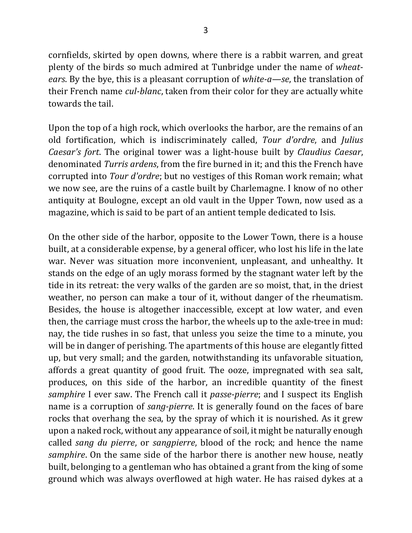cornfields, skirted by open downs, where there is a rabbit warren, and great plenty of the birds so much admired at Tunbridge under the name of *wheatears*. By the bye, this is a pleasant corruption of *white-a—se*, the translation of their French name *cul-blanc*, taken from their color for they are actually white towards the tail.

Upon the top of a high rock, which overlooks the harbor, are the remains of an old fortification, which is indiscriminately called, *Tour d'ordre*, and *Julius Caesar's fort.* The original tower was a light-house built by *Claudius Caesar*, denominated *Turris ardens*, from the fire burned in it; and this the French have corrupted into *Tour d'ordre*; but no vestiges of this Roman work remain; what we now see, are the ruins of a castle built by Charlemagne. I know of no other antiquity at Boulogne, except an old vault in the Upper Town, now used as a magazine, which is said to be part of an antient temple dedicated to Isis.

On the other side of the harbor, opposite to the Lower Town, there is a house built, at a considerable expense, by a general officer, who lost his life in the late war. Never was situation more inconvenient, unpleasant, and unhealthy. It stands on the edge of an ugly morass formed by the stagnant water left by the tide in its retreat: the very walks of the garden are so moist, that, in the driest weather, no person can make a tour of it, without danger of the rheumatism. Besides, the house is altogether inaccessible, except at low water, and even then, the carriage must cross the harbor, the wheels up to the axle-tree in mud: nay, the tide rushes in so fast, that unless you seize the time to a minute, you will be in danger of perishing. The apartments of this house are elegantly fitted up, but very small; and the garden, notwithstanding its unfavorable situation, affords a great quantity of good fruit. The ooze, impregnated with sea salt, produces, on this side of the harbor, an incredible quantity of the finest *samphire* I ever saw. The French call it *passe-pierre*; and I suspect its English name is a corruption of *sang-pierre*. It is generally found on the faces of bare rocks that overhang the sea, by the spray of which it is nourished. As it grew upon a naked rock, without any appearance of soil, it might be naturally enough called *sang* du pierre, or *sangpierre*, blood of the rock; and hence the name *samphire*. On the same side of the harbor there is another new house, neatly built, belonging to a gentleman who has obtained a grant from the king of some ground which was always overflowed at high water. He has raised dykes at a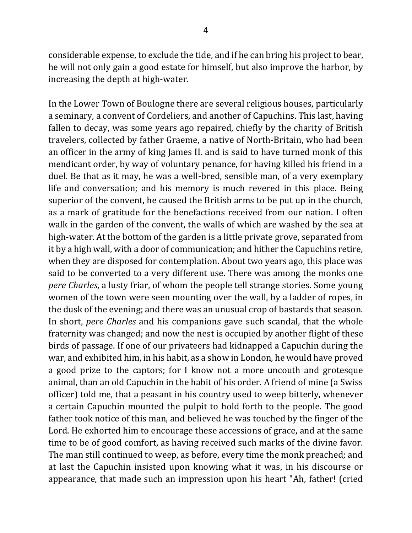considerable expense, to exclude the tide, and if he can bring his project to bear, he will not only gain a good estate for himself, but also improve the harbor, by increasing the depth at high-water.

In the Lower Town of Boulogne there are several religious houses, particularly a seminary, a convent of Cordeliers, and another of Capuchins. This last, having fallen to decay, was some years ago repaired, chiefly by the charity of British travelers, collected by father Graeme, a native of North-Britain, who had been an officer in the army of king James II. and is said to have turned monk of this mendicant order, by way of voluntary penance, for having killed his friend in a duel. Be that as it may, he was a well-bred, sensible man, of a very exemplary life and conversation; and his memory is much revered in this place. Being superior of the convent, he caused the British arms to be put up in the church, as a mark of gratitude for the benefactions received from our nation. I often walk in the garden of the convent, the walls of which are washed by the sea at high-water. At the bottom of the garden is a little private grove, separated from it by a high wall, with a door of communication; and hither the Capuchins retire, when they are disposed for contemplation. About two years ago, this place was said to be converted to a very different use. There was among the monks one *pere Charles*, a lusty friar, of whom the people tell strange stories. Some young women of the town were seen mounting over the wall, by a ladder of ropes, in the dusk of the evening; and there was an unusual crop of bastards that season. In short, *pere Charles* and his companions gave such scandal, that the whole fraternity was changed; and now the nest is occupied by another flight of these birds of passage. If one of our privateers had kidnapped a Capuchin during the war, and exhibited him, in his habit, as a show in London, he would have proved a good prize to the captors; for I know not a more uncouth and grotesque animal, than an old Capuchin in the habit of his order. A friend of mine (a Swiss officer) told me, that a peasant in his country used to weep bitterly, whenever a certain Capuchin mounted the pulpit to hold forth to the people. The good father took notice of this man, and believed he was touched by the finger of the Lord. He exhorted him to encourage these accessions of grace, and at the same time to be of good comfort, as having received such marks of the divine favor. The man still continued to weep, as before, every time the monk preached; and at last the Capuchin insisted upon knowing what it was, in his discourse or appearance, that made such an impression upon his heart "Ah, father! (cried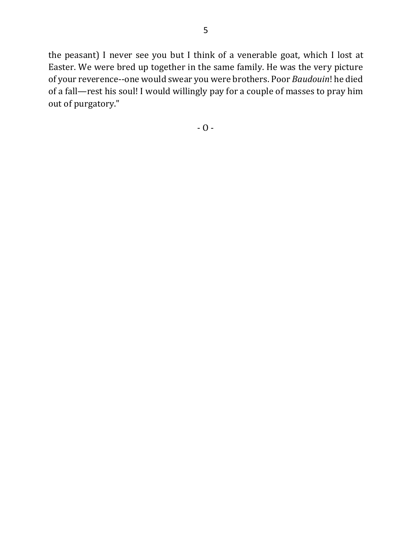the peasant) I never see you but I think of a venerable goat, which I lost at Easter. We were bred up together in the same family. He was the very picture of your reverence--one would swear you were brothers. Poor *Baudouin*! he died of a fall—rest his soul! I would willingly pay for a couple of masses to pray him out of purgatory."

 $-0-$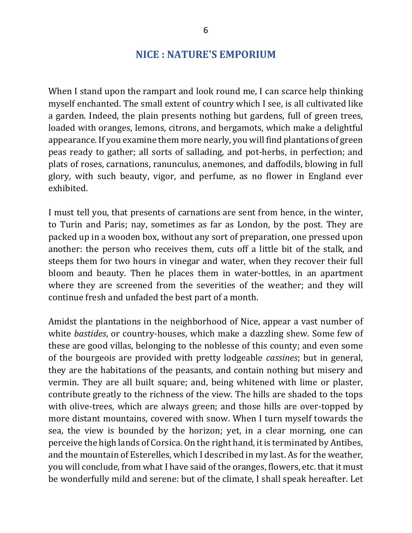# **NICE : NATURE'S EMPORIUM**

When I stand upon the rampart and look round me, I can scarce help thinking myself enchanted. The small extent of country which I see, is all cultivated like a garden. Indeed, the plain presents nothing but gardens, full of green trees, loaded with oranges, lemons, citrons, and bergamots, which make a delightful appearance. If you examine them more nearly, you will find plantations of green peas ready to gather; all sorts of sallading, and pot-herbs, in perfection; and plats of roses, carnations, ranunculus, anemones, and daffodils, blowing in full glory, with such beauty, vigor, and perfume, as no flower in England ever exhibited. 

I must tell you, that presents of carnations are sent from hence, in the winter, to Turin and Paris; nay, sometimes as far as London, by the post. They are packed up in a wooden box, without any sort of preparation, one pressed upon another: the person who receives them, cuts off a little bit of the stalk, and steeps them for two hours in vinegar and water, when they recover their full bloom and beauty. Then he places them in water-bottles, in an apartment where they are screened from the severities of the weather; and they will continue fresh and unfaded the best part of a month.

Amidst the plantations in the neighborhood of Nice, appear a vast number of white *bastides*, or country-houses, which make a dazzling shew. Some few of these are good villas, belonging to the noblesse of this county; and even some of the bourgeois are provided with pretty lodgeable *cassines*; but in general, they are the habitations of the peasants, and contain nothing but misery and vermin. They are all built square; and, being whitened with lime or plaster, contribute greatly to the richness of the view. The hills are shaded to the tops with olive-trees, which are always green; and those hills are over-topped by more distant mountains, covered with snow. When I turn myself towards the sea, the view is bounded by the horizon; yet, in a clear morning, one can perceive the high lands of Corsica. On the right hand, it is terminated by Antibes, and the mountain of Esterelles, which I described in my last. As for the weather, you will conclude, from what I have said of the oranges, flowers, etc. that it must be wonderfully mild and serene: but of the climate, I shall speak hereafter. Let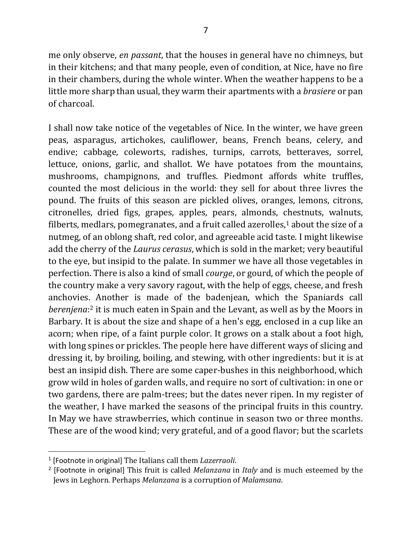me only observe, *en passant*, that the houses in general have no chimneys, but in their kitchens; and that many people, even of condition, at Nice, have no fire in their chambers, during the whole winter. When the weather happens to be a little more sharp than usual, they warm their apartments with a *brasiere* or pan of charcoal.

I shall now take notice of the vegetables of Nice. In the winter, we have green peas, asparagus, artichokes, cauliflower, beans, French beans, celery, and endive; cabbage, coleworts, radishes, turnips, carrots, betteraves, sorrel, lettuce, onions, garlic, and shallot. We have potatoes from the mountains, mushrooms, champignons, and truffles. Piedmont affords white truffles, counted the most delicious in the world: they sell for about three livres the pound. The fruits of this season are pickled olives, oranges, lemons, citrons, citronelles, dried figs, grapes, apples, pears, almonds, chestnuts, walnuts, filberts, medlars, pomegranates, and a fruit called azerolles, $1$  about the size of a nutmeg, of an oblong shaft, red color, and agreeable acid taste. I might likewise add the cherry of the *Laurus cerasus*, which is sold in the market; very beautiful to the eye, but insipid to the palate. In summer we have all those vegetables in perfection. There is also a kind of small *courge*, or gourd, of which the people of the country make a very savory ragout, with the help of eggs, cheese, and fresh anchovies. Another is made of the badenjean, which the Spaniards call berenjena:<sup>2</sup> it is much eaten in Spain and the Levant, as well as by the Moors in Barbary. It is about the size and shape of a hen's egg, enclosed in a cup like an acorn; when ripe, of a faint purple color. It grows on a stalk about a foot high, with long spines or prickles. The people here have different ways of slicing and dressing it, by broiling, boiling, and stewing, with other ingredients: but it is at best an insipid dish. There are some caper-bushes in this neighborhood, which grow wild in holes of garden walls, and require no sort of cultivation: in one or two gardens, there are palm-trees; but the dates never ripen. In my register of the weather, I have marked the seasons of the principal fruits in this country. In May we have strawberries, which continue in season two or three months. These are of the wood kind; very grateful, and of a good flavor; but the scarlets

<sup>&</sup>lt;sup>1</sup> [Footnote in original] The Italians call them *Lazerraoli*.

<sup>&</sup>lt;sup>2</sup> [Footnote in original] This fruit is called *Melanzana* in *Italy* and is much esteemed by the Jews in Leghorn. Perhaps *Melanzana* is a corruption of *Malamsana*.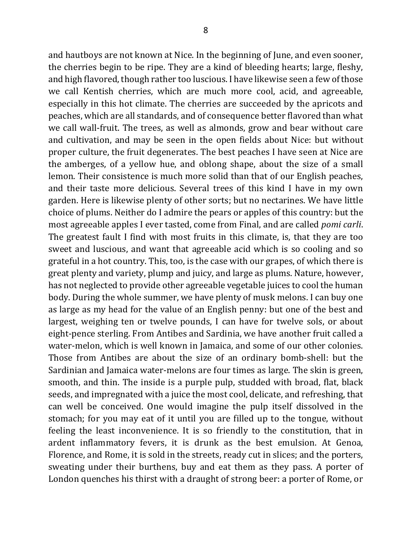and hautboys are not known at Nice. In the beginning of June, and even sooner, the cherries begin to be ripe. They are a kind of bleeding hearts; large, fleshy, and high flavored, though rather too luscious. I have likewise seen a few of those we call Kentish cherries, which are much more cool, acid, and agreeable, especially in this hot climate. The cherries are succeeded by the apricots and peaches, which are all standards, and of consequence better flavored than what we call wall-fruit. The trees, as well as almonds, grow and bear without care and cultivation, and may be seen in the open fields about Nice: but without proper culture, the fruit degenerates. The best peaches I have seen at Nice are the amberges, of a yellow hue, and oblong shape, about the size of a small lemon. Their consistence is much more solid than that of our English peaches, and their taste more delicious. Several trees of this kind I have in my own garden. Here is likewise plenty of other sorts; but no nectarines. We have little choice of plums. Neither do I admire the pears or apples of this country: but the most agreeable apples I ever tasted, come from Final, and are called *pomi carli*. The greatest fault I find with most fruits in this climate, is, that they are too sweet and luscious, and want that agreeable acid which is so cooling and so grateful in a hot country. This, too, is the case with our grapes, of which there is great plenty and variety, plump and juicy, and large as plums. Nature, however, has not neglected to provide other agreeable vegetable juices to cool the human body. During the whole summer, we have plenty of musk melons. I can buy one as large as my head for the value of an English penny: but one of the best and largest, weighing ten or twelve pounds, I can have for twelve sols, or about eight-pence sterling. From Antibes and Sardinia, we have another fruit called a water-melon, which is well known in Jamaica, and some of our other colonies. Those from Antibes are about the size of an ordinary bomb-shell: but the Sardinian and Jamaica water-melons are four times as large. The skin is green, smooth, and thin. The inside is a purple pulp, studded with broad, flat, black seeds, and impregnated with a juice the most cool, delicate, and refreshing, that can well be conceived. One would imagine the pulp itself dissolved in the stomach; for you may eat of it until you are filled up to the tongue, without feeling the least inconvenience. It is so friendly to the constitution, that in ardent inflammatory fevers, it is drunk as the best emulsion. At Genoa, Florence, and Rome, it is sold in the streets, ready cut in slices; and the porters, sweating under their burthens, buy and eat them as they pass. A porter of London quenches his thirst with a draught of strong beer: a porter of Rome, or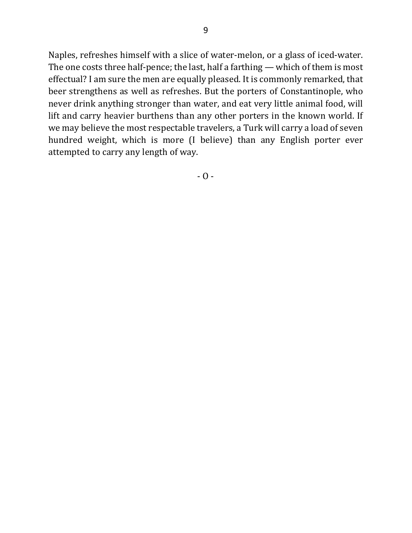Naples, refreshes himself with a slice of water-melon, or a glass of iced-water. The one costs three half-pence; the last, half a farthing  $-$  which of them is most effectual? I am sure the men are equally pleased. It is commonly remarked, that beer strengthens as well as refreshes. But the porters of Constantinople, who never drink anything stronger than water, and eat very little animal food, will lift and carry heavier burthens than any other porters in the known world. If we may believe the most respectable travelers, a Turk will carry a load of seven hundred weight, which is more (I believe) than any English porter ever attempted to carry any length of way.

- O -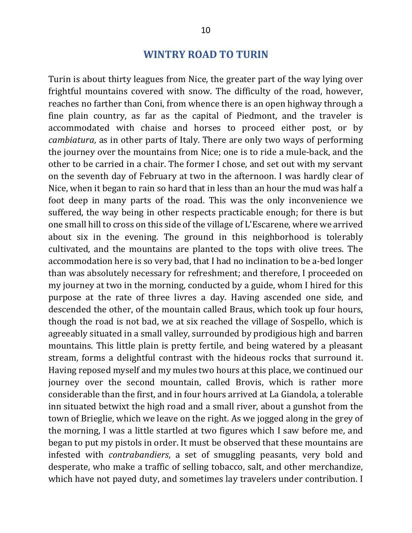## **WINTRY ROAD TO TURIN**

Turin is about thirty leagues from Nice, the greater part of the way lying over frightful mountains covered with snow. The difficulty of the road, however, reaches no farther than Coni, from whence there is an open highway through a fine plain country, as far as the capital of Piedmont, and the traveler is accommodated with chaise and horses to proceed either post, or by *cambiatura*, as in other parts of Italy. There are only two ways of performing the journey over the mountains from Nice; one is to ride a mule-back, and the other to be carried in a chair. The former I chose, and set out with my servant on the seventh day of February at two in the afternoon. I was hardly clear of Nice, when it began to rain so hard that in less than an hour the mud was half a foot deep in many parts of the road. This was the only inconvenience we suffered, the way being in other respects practicable enough; for there is but one small hill to cross on this side of the village of L'Escarene, where we arrived about six in the evening. The ground in this neighborhood is tolerably cultivated, and the mountains are planted to the tops with olive trees. The accommodation here is so very bad, that I had no inclination to be a-bed longer than was absolutely necessary for refreshment; and therefore, I proceeded on my journey at two in the morning, conducted by a guide, whom I hired for this purpose at the rate of three livres a day. Having ascended one side, and descended the other, of the mountain called Braus, which took up four hours, though the road is not bad, we at six reached the village of Sospello, which is agreeably situated in a small valley, surrounded by prodigious high and barren mountains. This little plain is pretty fertile, and being watered by a pleasant stream, forms a delightful contrast with the hideous rocks that surround it. Having reposed myself and my mules two hours at this place, we continued our journey over the second mountain, called Brovis, which is rather more considerable than the first, and in four hours arrived at La Giandola, a tolerable inn situated betwixt the high road and a small river, about a gunshot from the town of Brieglie, which we leave on the right. As we jogged along in the grey of the morning, I was a little startled at two figures which I saw before me, and began to put my pistols in order. It must be observed that these mountains are infested with *contrabandiers*, a set of smuggling peasants, very bold and desperate, who make a traffic of selling tobacco, salt, and other merchandize, which have not payed duty, and sometimes lay travelers under contribution. I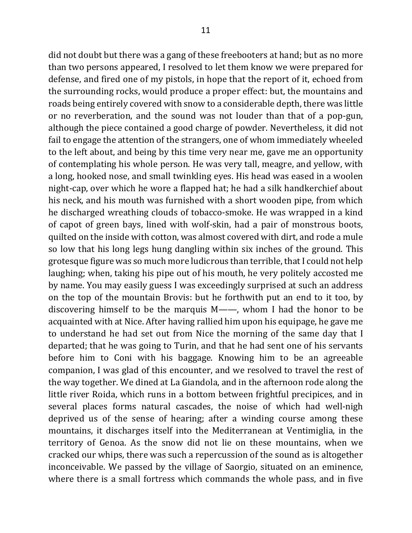did not doubt but there was a gang of these freebooters at hand; but as no more than two persons appeared, I resolved to let them know we were prepared for defense, and fired one of my pistols, in hope that the report of it, echoed from the surrounding rocks, would produce a proper effect: but, the mountains and roads being entirely covered with snow to a considerable depth, there was little or no reverberation, and the sound was not louder than that of a pop-gun, although the piece contained a good charge of powder. Nevertheless, it did not fail to engage the attention of the strangers, one of whom immediately wheeled to the left about, and being by this time very near me, gave me an opportunity of contemplating his whole person. He was very tall, meagre, and yellow, with a long, hooked nose, and small twinkling eyes. His head was eased in a woolen night-cap, over which he wore a flapped hat; he had a silk handkerchief about his neck, and his mouth was furnished with a short wooden pipe, from which he discharged wreathing clouds of tobacco-smoke. He was wrapped in a kind of capot of green bays, lined with wolf-skin, had a pair of monstrous boots, quilted on the inside with cotton, was almost covered with dirt, and rode a mule so low that his long legs hung dangling within six inches of the ground. This grotesque figure was so much more ludicrous than terrible, that I could not help laughing; when, taking his pipe out of his mouth, he very politely accosted me by name. You may easily guess I was exceedingly surprised at such an address on the top of the mountain Brovis: but he forthwith put an end to it too, by discovering himself to be the marquis  $M$ ——, whom I had the honor to be acquainted with at Nice. After having rallied him upon his equipage, he gave me to understand he had set out from Nice the morning of the same day that I departed; that he was going to Turin, and that he had sent one of his servants before him to Coni with his baggage. Knowing him to be an agreeable companion, I was glad of this encounter, and we resolved to travel the rest of the way together. We dined at La Giandola, and in the afternoon rode along the little river Roida, which runs in a bottom between frightful precipices, and in several places forms natural cascades, the noise of which had well-nigh deprived us of the sense of hearing; after a winding course among these mountains, it discharges itself into the Mediterranean at Ventimiglia, in the territory of Genoa. As the snow did not lie on these mountains, when we cracked our whips, there was such a repercussion of the sound as is altogether inconceivable. We passed by the village of Saorgio, situated on an eminence, where there is a small fortress which commands the whole pass, and in five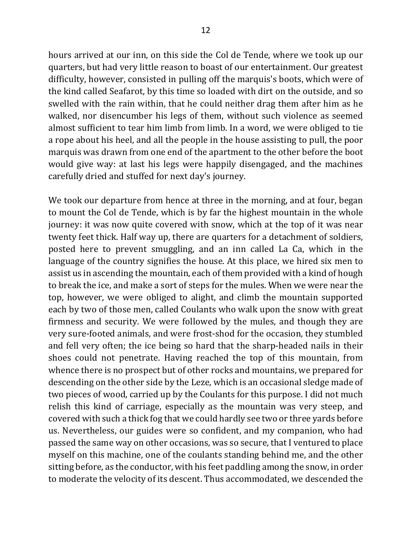hours arrived at our inn, on this side the Col de Tende, where we took up our quarters, but had very little reason to boast of our entertainment. Our greatest difficulty, however, consisted in pulling off the marquis's boots, which were of the kind called Seafarot, by this time so loaded with dirt on the outside, and so swelled with the rain within, that he could neither drag them after him as he walked, nor disencumber his legs of them, without such violence as seemed almost sufficient to tear him limb from limb. In a word, we were obliged to tie a rope about his heel, and all the people in the house assisting to pull, the poor marquis was drawn from one end of the apartment to the other before the boot would give way: at last his legs were happily disengaged, and the machines carefully dried and stuffed for next day's journey.

We took our departure from hence at three in the morning, and at four, began to mount the Col de Tende, which is by far the highest mountain in the whole journey: it was now quite covered with snow, which at the top of it was near twenty feet thick. Half way up, there are quarters for a detachment of soldiers, posted here to prevent smuggling, and an inn called La Ca, which in the language of the country signifies the house. At this place, we hired six men to assist us in ascending the mountain, each of them provided with a kind of hough to break the ice, and make a sort of steps for the mules. When we were near the top, however, we were obliged to alight, and climb the mountain supported each by two of those men, called Coulants who walk upon the snow with great firmness and security. We were followed by the mules, and though they are very sure-footed animals, and were frost-shod for the occasion, they stumbled and fell very often; the ice being so hard that the sharp-headed nails in their shoes could not penetrate. Having reached the top of this mountain, from whence there is no prospect but of other rocks and mountains, we prepared for descending on the other side by the Leze, which is an occasional sledge made of two pieces of wood, carried up by the Coulants for this purpose. I did not much relish this kind of carriage, especially as the mountain was very steep, and covered with such a thick fog that we could hardly see two or three yards before us. Nevertheless, our guides were so confident, and my companion, who had passed the same way on other occasions, was so secure, that I ventured to place myself on this machine, one of the coulants standing behind me, and the other sitting before, as the conductor, with his feet paddling among the snow, in order to moderate the velocity of its descent. Thus accommodated, we descended the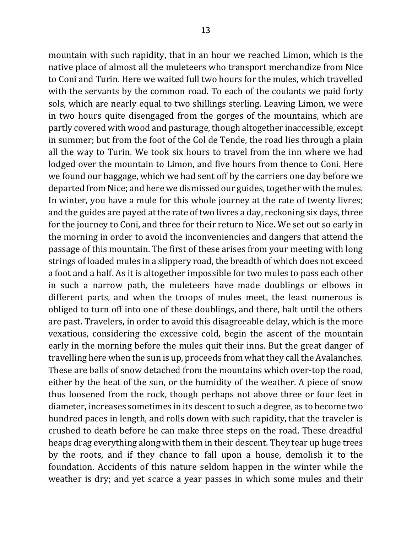mountain with such rapidity, that in an hour we reached Limon, which is the native place of almost all the muleteers who transport merchandize from Nice to Coni and Turin. Here we waited full two hours for the mules, which travelled with the servants by the common road. To each of the coulants we paid forty sols, which are nearly equal to two shillings sterling. Leaving Limon, we were in two hours quite disengaged from the gorges of the mountains, which are partly covered with wood and pasturage, though altogether inaccessible, except in summer; but from the foot of the Col de Tende, the road lies through a plain all the way to Turin. We took six hours to travel from the inn where we had lodged over the mountain to Limon, and five hours from thence to Coni. Here we found our baggage, which we had sent off by the carriers one day before we departed from Nice; and here we dismissed our guides, together with the mules. In winter, you have a mule for this whole journey at the rate of twenty livres; and the guides are payed at the rate of two livres a day, reckoning six days, three for the journey to Coni, and three for their return to Nice. We set out so early in the morning in order to avoid the inconveniencies and dangers that attend the passage of this mountain. The first of these arises from your meeting with long strings of loaded mules in a slippery road, the breadth of which does not exceed a foot and a half. As it is altogether impossible for two mules to pass each other in such a narrow path, the muleteers have made doublings or elbows in different parts, and when the troops of mules meet, the least numerous is obliged to turn off into one of these doublings, and there, halt until the others are past. Travelers, in order to avoid this disagreeable delay, which is the more vexatious, considering the excessive cold, begin the ascent of the mountain early in the morning before the mules quit their inns. But the great danger of travelling here when the sun is up, proceeds from what they call the Avalanches. These are balls of snow detached from the mountains which over-top the road, either by the heat of the sun, or the humidity of the weather. A piece of snow thus loosened from the rock, though perhaps not above three or four feet in diameter, increases sometimes in its descent to such a degree, as to become two hundred paces in length, and rolls down with such rapidity, that the traveler is crushed to death before he can make three steps on the road. These dreadful heaps drag everything along with them in their descent. They tear up huge trees by the roots, and if they chance to fall upon a house, demolish it to the foundation. Accidents of this nature seldom happen in the winter while the weather is dry; and yet scarce a year passes in which some mules and their